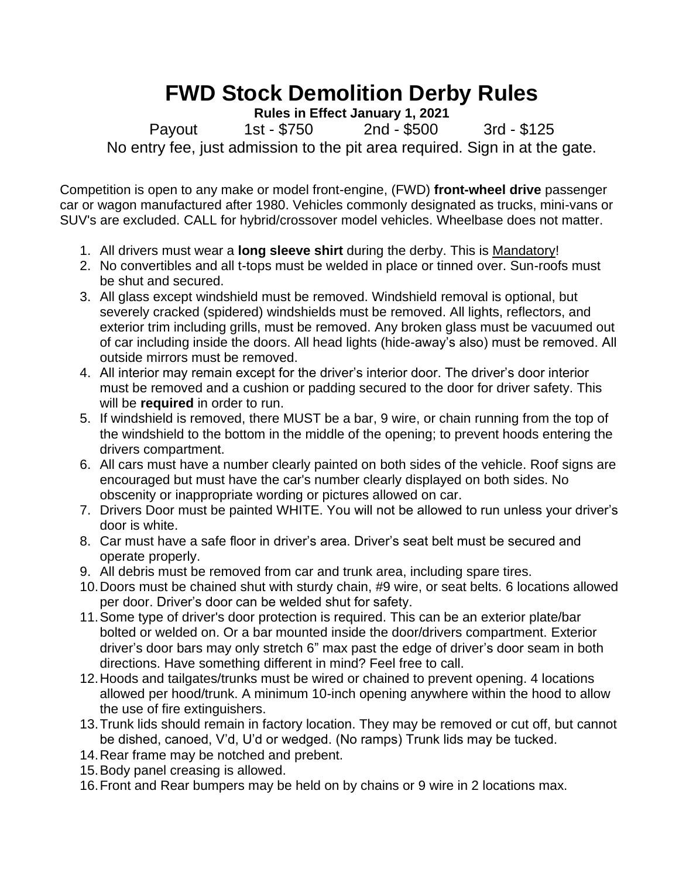## **FWD Stock Demolition Derby Rules**

**Rules in Effect January 1, 2021**

Payout 1st - \$750 2nd - \$500 3rd - \$125 No entry fee, just admission to the pit area required. Sign in at the gate.

Competition is open to any make or model front-engine, (FWD) **front-wheel drive** passenger car or wagon manufactured after 1980. Vehicles commonly designated as trucks, mini-vans or SUV's are excluded. CALL for hybrid/crossover model vehicles. Wheelbase does not matter.

- 1. All drivers must wear a **long sleeve shirt** during the derby. This is Mandatory!
- 2. No convertibles and all t-tops must be welded in place or tinned over. Sun-roofs must be shut and secured.
- 3. All glass except windshield must be removed. Windshield removal is optional, but severely cracked (spidered) windshields must be removed. All lights, reflectors, and exterior trim including grills, must be removed. Any broken glass must be vacuumed out of car including inside the doors. All head lights (hide-away's also) must be removed. All outside mirrors must be removed.
- 4. All interior may remain except for the driver's interior door. The driver's door interior must be removed and a cushion or padding secured to the door for driver safety. This will be **required** in order to run.
- 5. If windshield is removed, there MUST be a bar, 9 wire, or chain running from the top of the windshield to the bottom in the middle of the opening; to prevent hoods entering the drivers compartment.
- 6. All cars must have a number clearly painted on both sides of the vehicle. Roof signs are encouraged but must have the car's number clearly displayed on both sides. No obscenity or inappropriate wording or pictures allowed on car.
- 7. Drivers Door must be painted WHITE. You will not be allowed to run unless your driver's door is white.
- 8. Car must have a safe floor in driver's area. Driver's seat belt must be secured and operate properly.
- 9. All debris must be removed from car and trunk area, including spare tires.
- 10.Doors must be chained shut with sturdy chain, #9 wire, or seat belts. 6 locations allowed per door. Driver's door can be welded shut for safety.
- 11.Some type of driver's door protection is required. This can be an exterior plate/bar bolted or welded on. Or a bar mounted inside the door/drivers compartment. Exterior driver's door bars may only stretch 6" max past the edge of driver's door seam in both directions. Have something different in mind? Feel free to call.
- 12.Hoods and tailgates/trunks must be wired or chained to prevent opening. 4 locations allowed per hood/trunk. A minimum 10-inch opening anywhere within the hood to allow the use of fire extinguishers.
- 13.Trunk lids should remain in factory location. They may be removed or cut off, but cannot be dished, canoed, V'd, U'd or wedged. (No ramps) Trunk lids may be tucked.
- 14.Rear frame may be notched and prebent.
- 15.Body panel creasing is allowed.
- 16.Front and Rear bumpers may be held on by chains or 9 wire in 2 locations max.